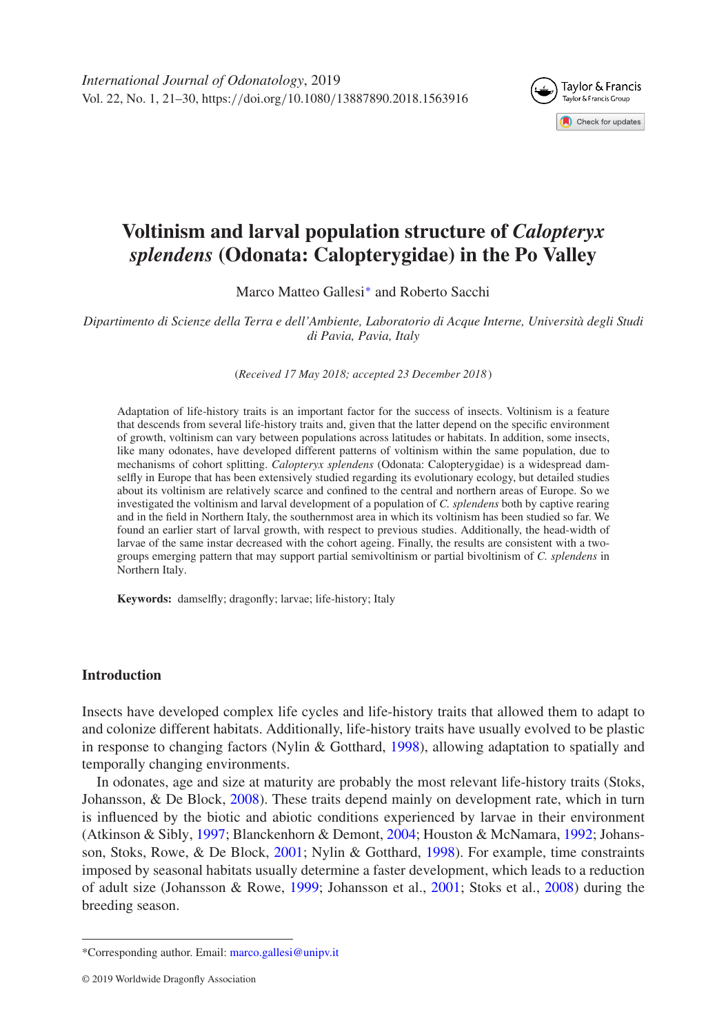

# **Voltinism and larval population structure of** *Calopteryx splendens* **(Odonata: Calopterygidae) in the Po Valley**

Marco Matteo Gallesi[∗](#page-0-0) and Roberto Sacchi

*Dipartimento di Scienze della Terra e dell'Ambiente, Laboratorio di Acque Interne, Università degli Studi di Pavia, Pavia, Italy*

(*Received 17 May 2018; accepted 23 December 2018* )

Adaptation of life-history traits is an important factor for the success of insects. Voltinism is a feature that descends from several life-history traits and, given that the latter depend on the specific environment of growth, voltinism can vary between populations across latitudes or habitats. In addition, some insects, like many odonates, have developed different patterns of voltinism within the same population, due to mechanisms of cohort splitting. *Calopteryx splendens* (Odonata: Calopterygidae) is a widespread damselfly in Europe that has been extensively studied regarding its evolutionary ecology, but detailed studies about its voltinism are relatively scarce and confined to the central and northern areas of Europe. So we investigated the voltinism and larval development of a population of *C. splendens* both by captive rearing and in the field in Northern Italy, the southernmost area in which its voltinism has been studied so far. We found an earlier start of larval growth, with respect to previous studies. Additionally, the head-width of larvae of the same instar decreased with the cohort ageing. Finally, the results are consistent with a twogroups emerging pattern that may support partial semivoltinism or partial bivoltinism of *C. splendens* in Northern Italy.

**Keywords:** damselfly; dragonfly; larvae; life-history; Italy

#### **Introduction**

Insects have developed complex life cycles and life-history traits that allowed them to adapt to and colonize different habitats. Additionally, life-history traits have usually evolved to be plastic in response to changing factors (Nylin & Gotthard, [1998\)](#page-9-0), allowing adaptation to spatially and temporally changing environments.

In odonates, age and size at maturity are probably the most relevant life-history traits (Stoks, Johansson, & De Block, [2008\)](#page-9-1). These traits depend mainly on development rate, which in turn is influenced by the biotic and abiotic conditions experienced by larvae in their environment (Atkinson & Sibly, [1997;](#page-8-0) Blanckenhorn & Demont, [2004;](#page-8-1) Houston & McNamara, [1992;](#page-9-2) Johansson, Stoks, Rowe, & De Block, [2001;](#page-9-3) Nylin & Gotthard, [1998\)](#page-9-0). For example, time constraints imposed by seasonal habitats usually determine a faster development, which leads to a reduction of adult size (Johansson & Rowe, [1999;](#page-9-4) Johansson et al., [2001;](#page-9-3) Stoks et al., [2008\)](#page-9-1) during the breeding season.

<span id="page-0-0"></span><sup>\*</sup>Corresponding author. Email: [marco.gallesi@unipv.it](mailto:marco.gallesi@unipv.it)

<sup>© 2019</sup> Worldwide Dragonfly Association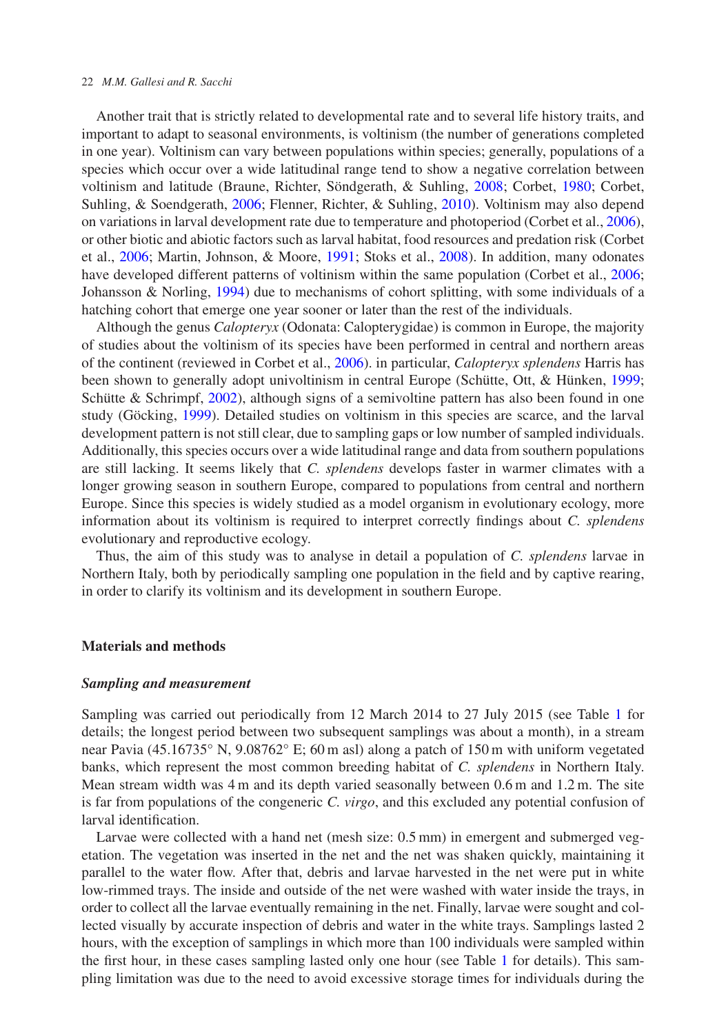#### 22 *M.M. Gallesi and R. Sacchi*

Another trait that is strictly related to developmental rate and to several life history traits, and important to adapt to seasonal environments, is voltinism (the number of generations completed in one year). Voltinism can vary between populations within species; generally, populations of a species which occur over a wide latitudinal range tend to show a negative correlation between voltinism and latitude (Braune, Richter, Söndgerath, & Suhling, [2008;](#page-8-2) Corbet, [1980;](#page-8-3) Corbet, Suhling, & Soendgerath, [2006;](#page-8-4) Flenner, Richter, & Suhling, [2010\)](#page-9-5). Voltinism may also depend on variations in larval development rate due to temperature and photoperiod (Corbet et al., [2006\)](#page-8-4), or other biotic and abiotic factors such as larval habitat, food resources and predation risk (Corbet et al., [2006;](#page-8-4) Martin, Johnson, & Moore, [1991;](#page-9-6) Stoks et al., [2008\)](#page-9-1). In addition, many odonates have developed different patterns of voltinism within the same population (Corbet et al., [2006;](#page-8-4) Johansson & Norling, [1994\)](#page-9-7) due to mechanisms of cohort splitting, with some individuals of a hatching cohort that emerge one year sooner or later than the rest of the individuals.

Although the genus *Calopteryx* (Odonata: Calopterygidae) is common in Europe, the majority of studies about the voltinism of its species have been performed in central and northern areas of the continent (reviewed in Corbet et al., [2006\)](#page-8-4). in particular, *Calopteryx splendens* Harris has been shown to generally adopt univoltinism in central Europe (Schütte, Ott, & Hünken, [1999;](#page-9-8) Schütte & Schrimpf, [2002\)](#page-9-9), although signs of a semivoltine pattern has also been found in one study (Göcking, [1999\)](#page-9-10). Detailed studies on voltinism in this species are scarce, and the larval development pattern is not still clear, due to sampling gaps or low number of sampled individuals. Additionally, this species occurs over a wide latitudinal range and data from southern populations are still lacking. It seems likely that *C. splendens* develops faster in warmer climates with a longer growing season in southern Europe, compared to populations from central and northern Europe. Since this species is widely studied as a model organism in evolutionary ecology, more information about its voltinism is required to interpret correctly findings about *C. splendens* evolutionary and reproductive ecology.

Thus, the aim of this study was to analyse in detail a population of *C. splendens* larvae in Northern Italy, both by periodically sampling one population in the field and by captive rearing, in order to clarify its voltinism and its development in southern Europe.

## **Materials and methods**

#### *Sampling and measurement*

Sampling was carried out periodically from 12 March 2014 to 27 July 2015 (see Table [1](#page-2-0) for details; the longest period between two subsequent samplings was about a month), in a stream near Pavia (45.16735° N, 9.08762° E; 60 m asl) along a patch of 150 m with uniform vegetated banks, which represent the most common breeding habitat of *C. splendens* in Northern Italy. Mean stream width was 4 m and its depth varied seasonally between 0.6 m and 1.2 m. The site is far from populations of the congeneric *C. virgo*, and this excluded any potential confusion of larval identification.

Larvae were collected with a hand net (mesh size: 0.5 mm) in emergent and submerged vegetation. The vegetation was inserted in the net and the net was shaken quickly, maintaining it parallel to the water flow. After that, debris and larvae harvested in the net were put in white low-rimmed trays. The inside and outside of the net were washed with water inside the trays, in order to collect all the larvae eventually remaining in the net. Finally, larvae were sought and collected visually by accurate inspection of debris and water in the white trays. Samplings lasted 2 hours, with the exception of samplings in which more than 100 individuals were sampled within the first hour, in these cases sampling lasted only one hour (see Table [1](#page-2-0) for details). This sampling limitation was due to the need to avoid excessive storage times for individuals during the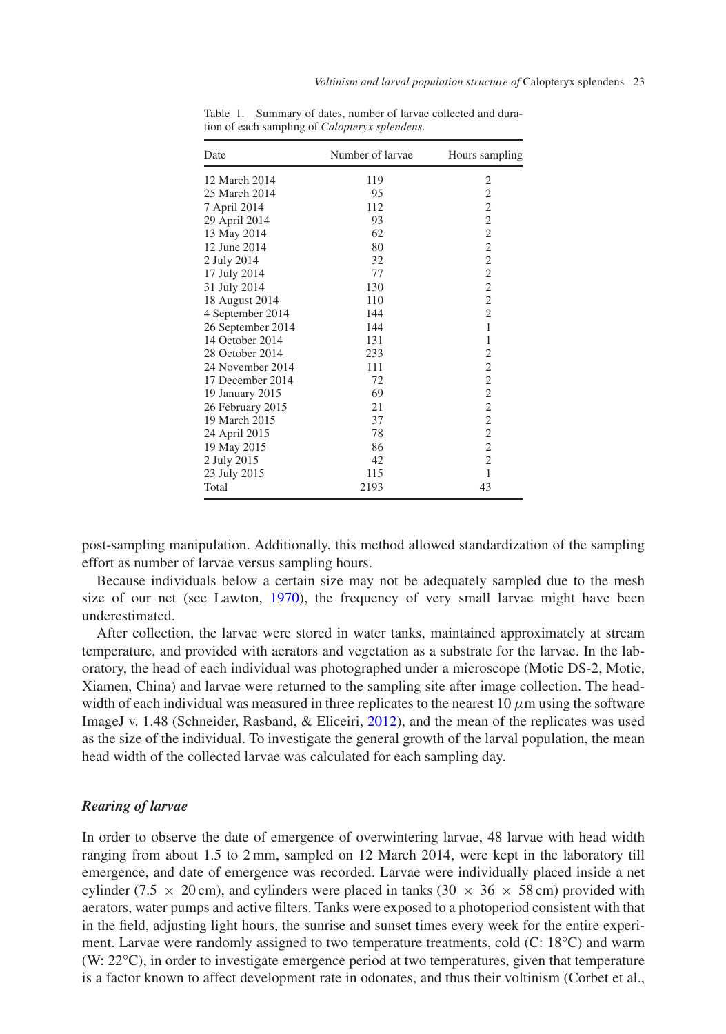| Date              | Number of larvae | Hours sampling |
|-------------------|------------------|----------------|
| 12 March 2014     | 119              | $\overline{c}$ |
| 25 March 2014     | 95               | $\overline{c}$ |
| 7 April 2014      | 112              | $\overline{c}$ |
| 29 April 2014     | 93               | $\overline{c}$ |
| 13 May 2014       | 62               |                |
| 12 June 2014      | 80               | $\frac{2}{2}$  |
| 2 July 2014       | 32               | $\overline{c}$ |
| 17 July 2014      | 77               | $\overline{c}$ |
| 31 July 2014      | 130              | $\overline{c}$ |
| 18 August 2014    | 110              | $\overline{c}$ |
| 4 September 2014  | 144              | $\overline{c}$ |
| 26 September 2014 | 144              | $\mathbf{1}$   |
| 14 October 2014   | 131              | $\mathbf{1}$   |
| 28 October 2014   | 233              | $\overline{c}$ |
| 24 November 2014  | 111              |                |
| 17 December 2014  | 72               | $\frac{2}{2}$  |
| 19 January 2015   | 69               | $\overline{c}$ |
| 26 February 2015  | 21               | $\overline{c}$ |
| 19 March 2015     | 37               |                |
| 24 April 2015     | 78               | $\frac{2}{2}$  |
| 19 May 2015       | 86               | $\overline{c}$ |
| 2 July 2015       | 42               | $\overline{c}$ |
| 23 July 2015      | 115              | $\mathbf{1}$   |
| Total             | 2193             | 43             |

<span id="page-2-0"></span>Table 1. Summary of dates, number of larvae collected and duration of each sampling of *Calopteryx splendens*.

post-sampling manipulation. Additionally, this method allowed standardization of the sampling effort as number of larvae versus sampling hours.

Because individuals below a certain size may not be adequately sampled due to the mesh size of our net (see Lawton, [1970\)](#page-9-11), the frequency of very small larvae might have been underestimated.

After collection, the larvae were stored in water tanks, maintained approximately at stream temperature, and provided with aerators and vegetation as a substrate for the larvae. In the laboratory, the head of each individual was photographed under a microscope (Motic DS-2, Motic, Xiamen, China) and larvae were returned to the sampling site after image collection. The headwidth of each individual was measured in three replicates to the nearest 10  $\mu$ m using the software ImageJ v. 1.48 (Schneider, Rasband, & Eliceiri, [2012\)](#page-9-12), and the mean of the replicates was used as the size of the individual. To investigate the general growth of the larval population, the mean head width of the collected larvae was calculated for each sampling day.

# *Rearing of larvae*

In order to observe the date of emergence of overwintering larvae, 48 larvae with head width ranging from about 1.5 to 2 mm, sampled on 12 March 2014, were kept in the laboratory till emergence, and date of emergence was recorded. Larvae were individually placed inside a net cylinder (7.5  $\times$  20 cm), and cylinders were placed in tanks (30  $\times$  36  $\times$  58 cm) provided with aerators, water pumps and active filters. Tanks were exposed to a photoperiod consistent with that in the field, adjusting light hours, the sunrise and sunset times every week for the entire experiment. Larvae were randomly assigned to two temperature treatments, cold (C: 18°C) and warm (W: 22°C), in order to investigate emergence period at two temperatures, given that temperature is a factor known to affect development rate in odonates, and thus their voltinism (Corbet et al.,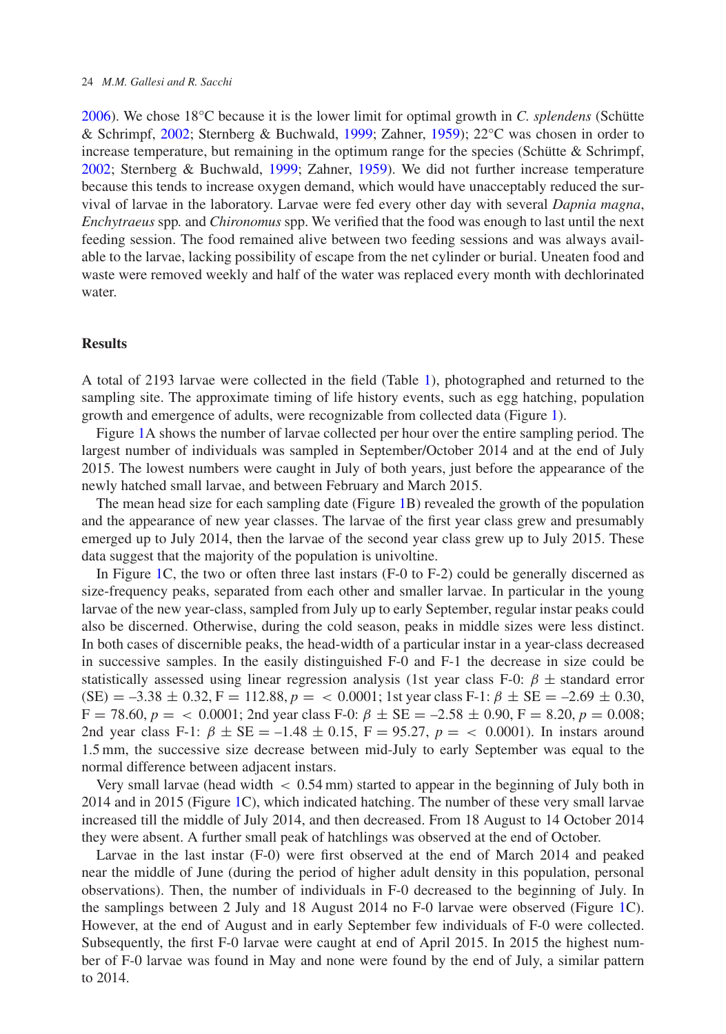[2006\)](#page-8-4). We chose 18°C because it is the lower limit for optimal growth in *C. splendens* (Schütte & Schrimpf, [2002;](#page-9-9) Sternberg & Buchwald, [1999;](#page-9-13) Zahner, [1959\)](#page-9-14); 22°C was chosen in order to increase temperature, but remaining in the optimum range for the species (Schütte  $\&$  Schrimpf, [2002;](#page-9-9) Sternberg & Buchwald, [1999;](#page-9-13) Zahner, [1959\)](#page-9-14). We did not further increase temperature because this tends to increase oxygen demand, which would have unacceptably reduced the survival of larvae in the laboratory. Larvae were fed every other day with several *Dapnia magna*, *Enchytraeus* spp*.* and *Chironomus* spp. We verified that the food was enough to last until the next feeding session. The food remained alive between two feeding sessions and was always available to the larvae, lacking possibility of escape from the net cylinder or burial. Uneaten food and waste were removed weekly and half of the water was replaced every month with dechlorinated water.

## **Results**

A total of 2193 larvae were collected in the field (Table [1\)](#page-2-0), photographed and returned to the sampling site. The approximate timing of life history events, such as egg hatching, population growth and emergence of adults, were recognizable from collected data (Figure [1\)](#page-4-0).

Figure [1A](#page-4-0) shows the number of larvae collected per hour over the entire sampling period. The largest number of individuals was sampled in September/October 2014 and at the end of July 2015. The lowest numbers were caught in July of both years, just before the appearance of the newly hatched small larvae, and between February and March 2015.

The mean head size for each sampling date (Figure [1B](#page-4-0)) revealed the growth of the population and the appearance of new year classes. The larvae of the first year class grew and presumably emerged up to July 2014, then the larvae of the second year class grew up to July 2015. These data suggest that the majority of the population is univoltine.

In Figure [1C](#page-4-0), the two or often three last instars (F-0 to F-2) could be generally discerned as size-frequency peaks, separated from each other and smaller larvae. In particular in the young larvae of the new year-class, sampled from July up to early September, regular instar peaks could also be discerned. Otherwise, during the cold season, peaks in middle sizes were less distinct. In both cases of discernible peaks, the head-width of a particular instar in a year-class decreased in successive samples. In the easily distinguished F-0 and F-1 the decrease in size could be statistically assessed using linear regression analysis (1st year class F-0:  $\beta \pm$  standard error  $(SE) = -3.38 \pm 0.32$ ,  $F = 112.88$ ,  $p = < 0.0001$ ; 1st year class F-1:  $\beta \pm SE = -2.69 \pm 0.30$ ,  $F = 78.60, p =  $0.0001$ ; 2nd year class F-0:  $\beta \pm \text{SE} = -2.58 \pm 0.90$ ,  $F = 8.20, p = 0.008$ ;$ 2nd year class F-1:  $\beta \pm SE = -1.48 \pm 0.15$ , F = 95.27,  $p = \langle 0.0001 \rangle$ . In instars around 1.5 mm, the successive size decrease between mid-July to early September was equal to the normal difference between adjacent instars.

Very small larvae (head width < 0.54 mm) started to appear in the beginning of July both in 2014 and in 2015 (Figure [1C](#page-4-0)), which indicated hatching. The number of these very small larvae increased till the middle of July 2014, and then decreased. From 18 August to 14 October 2014 they were absent. A further small peak of hatchlings was observed at the end of October.

Larvae in the last instar (F-0) were first observed at the end of March 2014 and peaked near the middle of June (during the period of higher adult density in this population, personal observations). Then, the number of individuals in F-0 decreased to the beginning of July. In the samplings between 2 July and 18 August 2014 no F-0 larvae were observed (Figure [1C](#page-4-0)). However, at the end of August and in early September few individuals of F-0 were collected. Subsequently, the first F-0 larvae were caught at end of April 2015. In 2015 the highest number of F-0 larvae was found in May and none were found by the end of July, a similar pattern to 2014.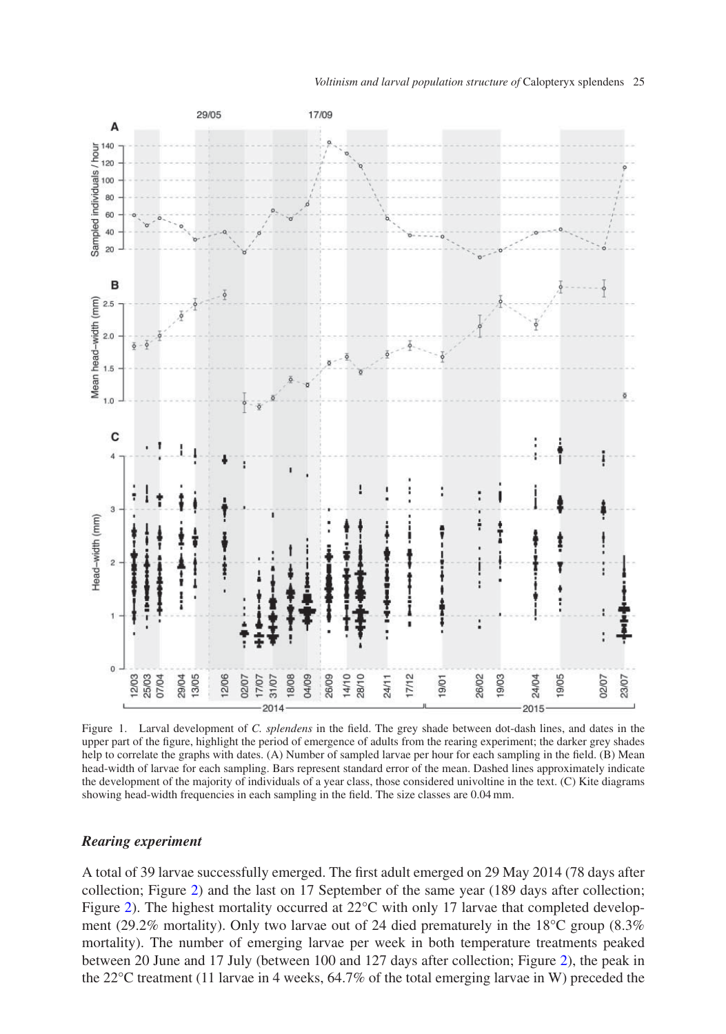

<span id="page-4-0"></span>Figure 1. Larval development of *C. splendens* in the field. The grey shade between dot-dash lines, and dates in the upper part of the figure, highlight the period of emergence of adults from the rearing experiment; the darker grey shades help to correlate the graphs with dates. (A) Number of sampled larvae per hour for each sampling in the field. (B) Mean head-width of larvae for each sampling. Bars represent standard error of the mean. Dashed lines approximately indicate the development of the majority of individuals of a year class, those considered univoltine in the text. (C) Kite diagrams showing head-width frequencies in each sampling in the field. The size classes are 0.04 mm.

## *Rearing experiment*

A total of 39 larvae successfully emerged. The first adult emerged on 29 May 2014 (78 days after collection; Figure [2\)](#page-5-0) and the last on 17 September of the same year (189 days after collection; Figure [2\)](#page-5-0). The highest mortality occurred at 22°C with only 17 larvae that completed development (29.2% mortality). Only two larvae out of 24 died prematurely in the 18<sup>o</sup>C group (8.3%) mortality). The number of emerging larvae per week in both temperature treatments peaked between 20 June and 17 July (between 100 and 127 days after collection; Figure [2\)](#page-5-0), the peak in the 22°C treatment (11 larvae in 4 weeks, 64.7% of the total emerging larvae in W) preceded the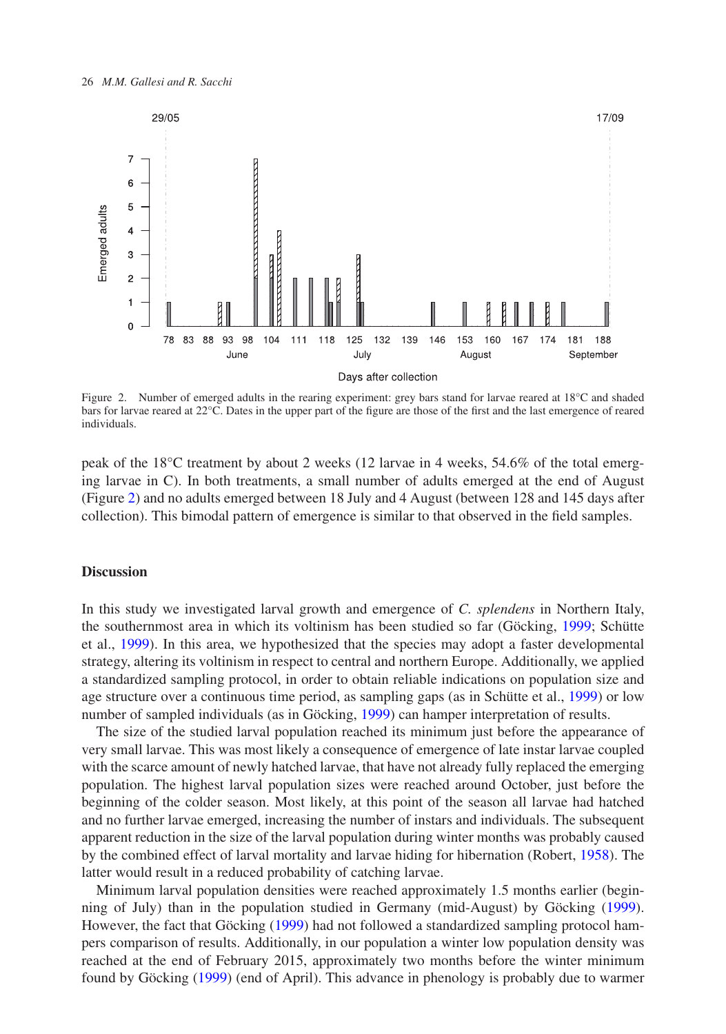

<span id="page-5-0"></span>Figure 2. Number of emerged adults in the rearing experiment: grey bars stand for larvae reared at 18°C and shaded bars for larvae reared at 22°C. Dates in the upper part of the figure are those of the first and the last emergence of reared individuals.

peak of the 18°C treatment by about 2 weeks (12 larvae in 4 weeks, 54.6% of the total emerging larvae in C). In both treatments, a small number of adults emerged at the end of August (Figure [2\)](#page-5-0) and no adults emerged between 18 July and 4 August (between 128 and 145 days after collection). This bimodal pattern of emergence is similar to that observed in the field samples.

#### **Discussion**

In this study we investigated larval growth and emergence of *C. splendens* in Northern Italy, the southernmost area in which its voltinism has been studied so far (Göcking, [1999;](#page-9-10) Schütte et al., [1999\)](#page-9-8). In this area, we hypothesized that the species may adopt a faster developmental strategy, altering its voltinism in respect to central and northern Europe. Additionally, we applied a standardized sampling protocol, in order to obtain reliable indications on population size and age structure over a continuous time period, as sampling gaps (as in Schütte et al., [1999\)](#page-9-8) or low number of sampled individuals (as in Göcking, [1999\)](#page-9-10) can hamper interpretation of results.

The size of the studied larval population reached its minimum just before the appearance of very small larvae. This was most likely a consequence of emergence of late instar larvae coupled with the scarce amount of newly hatched larvae, that have not already fully replaced the emerging population. The highest larval population sizes were reached around October, just before the beginning of the colder season. Most likely, at this point of the season all larvae had hatched and no further larvae emerged, increasing the number of instars and individuals. The subsequent apparent reduction in the size of the larval population during winter months was probably caused by the combined effect of larval mortality and larvae hiding for hibernation (Robert, [1958\)](#page-9-15). The latter would result in a reduced probability of catching larvae.

Minimum larval population densities were reached approximately 1.5 months earlier (beginning of July) than in the population studied in Germany (mid-August) by Göcking [\(1999\)](#page-9-10). However, the fact that Göcking [\(1999\)](#page-9-10) had not followed a standardized sampling protocol hampers comparison of results. Additionally, in our population a winter low population density was reached at the end of February 2015, approximately two months before the winter minimum found by Göcking [\(1999\)](#page-9-10) (end of April). This advance in phenology is probably due to warmer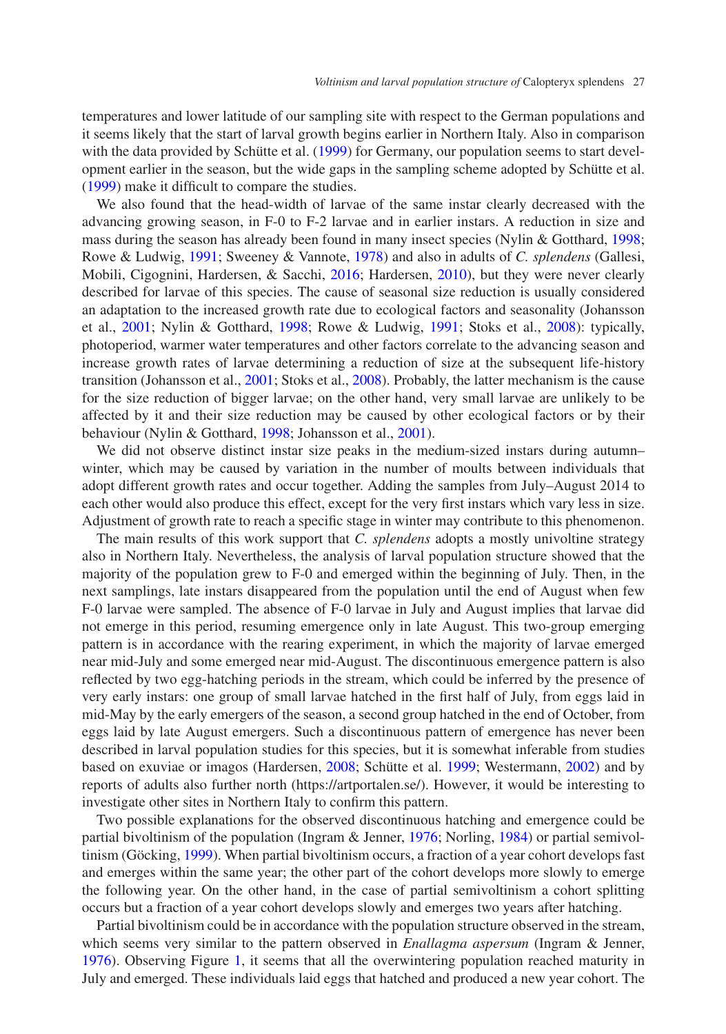temperatures and lower latitude of our sampling site with respect to the German populations and it seems likely that the start of larval growth begins earlier in Northern Italy. Also in comparison with the data provided by Schütte et al. [\(1999\)](#page-9-8) for Germany, our population seems to start development earlier in the season, but the wide gaps in the sampling scheme adopted by Schütte et al. [\(1999\)](#page-9-8) make it difficult to compare the studies.

We also found that the head-width of larvae of the same instar clearly decreased with the advancing growing season, in F-0 to F-2 larvae and in earlier instars. A reduction in size and mass during the season has already been found in many insect species (Nylin & Gotthard, [1998;](#page-9-0) Rowe & Ludwig, [1991;](#page-9-16) Sweeney & Vannote, [1978\)](#page-9-17) and also in adults of *C. splendens* (Gallesi, Mobili, Cigognini, Hardersen, & Sacchi, [2016;](#page-9-18) Hardersen, [2010\)](#page-9-19), but they were never clearly described for larvae of this species. The cause of seasonal size reduction is usually considered an adaptation to the increased growth rate due to ecological factors and seasonality (Johansson et al., [2001;](#page-9-3) Nylin & Gotthard, [1998;](#page-9-0) Rowe & Ludwig, [1991;](#page-9-16) Stoks et al., [2008\)](#page-9-1): typically, photoperiod, warmer water temperatures and other factors correlate to the advancing season and increase growth rates of larvae determining a reduction of size at the subsequent life-history transition (Johansson et al., [2001;](#page-9-3) Stoks et al., [2008\)](#page-9-1). Probably, the latter mechanism is the cause for the size reduction of bigger larvae; on the other hand, very small larvae are unlikely to be affected by it and their size reduction may be caused by other ecological factors or by their behaviour (Nylin & Gotthard, [1998;](#page-9-0) Johansson et al., [2001\)](#page-9-3).

We did not observe distinct instar size peaks in the medium-sized instars during autumn– winter, which may be caused by variation in the number of moults between individuals that adopt different growth rates and occur together. Adding the samples from July–August 2014 to each other would also produce this effect, except for the very first instars which vary less in size. Adjustment of growth rate to reach a specific stage in winter may contribute to this phenomenon.

The main results of this work support that *C. splendens* adopts a mostly univoltine strategy also in Northern Italy. Nevertheless, the analysis of larval population structure showed that the majority of the population grew to F-0 and emerged within the beginning of July. Then, in the next samplings, late instars disappeared from the population until the end of August when few F-0 larvae were sampled. The absence of F-0 larvae in July and August implies that larvae did not emerge in this period, resuming emergence only in late August. This two-group emerging pattern is in accordance with the rearing experiment, in which the majority of larvae emerged near mid-July and some emerged near mid-August. The discontinuous emergence pattern is also reflected by two egg-hatching periods in the stream, which could be inferred by the presence of very early instars: one group of small larvae hatched in the first half of July, from eggs laid in mid-May by the early emergers of the season, a second group hatched in the end of October, from eggs laid by late August emergers. Such a discontinuous pattern of emergence has never been described in larval population studies for this species, but it is somewhat inferable from studies based on exuviae or imagos (Hardersen, [2008;](#page-9-20) Schütte et al. [1999;](#page-9-8) Westermann, [2002\)](#page-9-21) and by reports of adults also further north (https://artportalen.se/). However, it would be interesting to investigate other sites in Northern Italy to confirm this pattern.

Two possible explanations for the observed discontinuous hatching and emergence could be partial bivoltinism of the population (Ingram & Jenner, [1976;](#page-9-22) Norling, [1984\)](#page-9-23) or partial semivoltinism (Göcking, [1999\)](#page-9-10). When partial bivoltinism occurs, a fraction of a year cohort develops fast and emerges within the same year; the other part of the cohort develops more slowly to emerge the following year. On the other hand, in the case of partial semivoltinism a cohort splitting occurs but a fraction of a year cohort develops slowly and emerges two years after hatching.

Partial bivoltinism could be in accordance with the population structure observed in the stream, which seems very similar to the pattern observed in *Enallagma aspersum* (Ingram & Jenner, [1976\)](#page-9-22). Observing Figure [1,](#page-4-0) it seems that all the overwintering population reached maturity in July and emerged. These individuals laid eggs that hatched and produced a new year cohort. The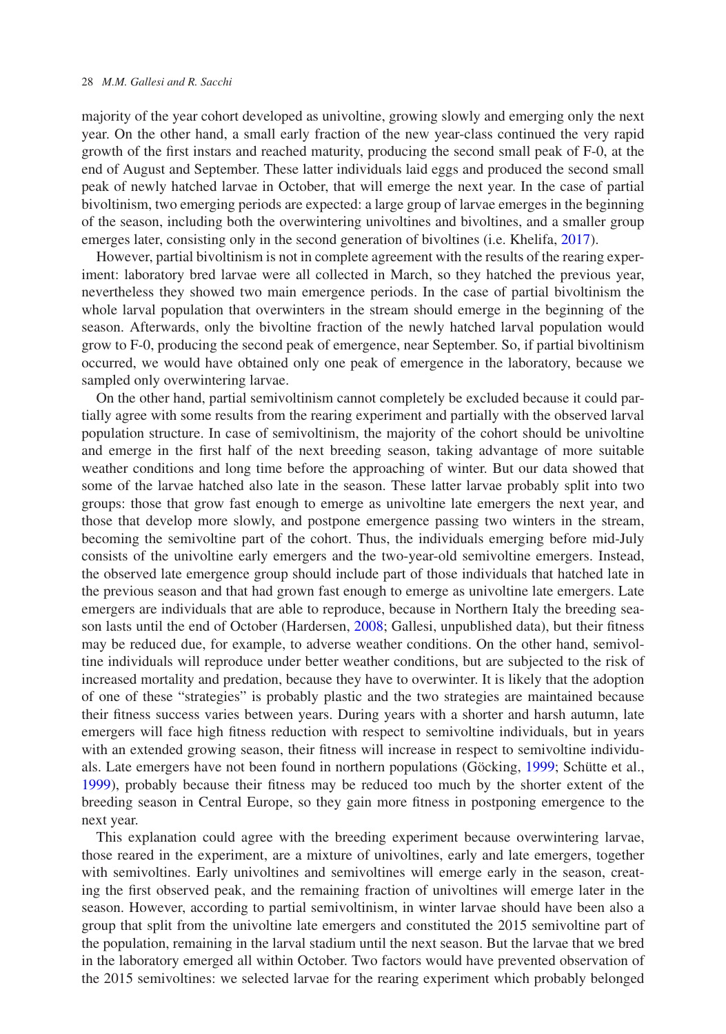majority of the year cohort developed as univoltine, growing slowly and emerging only the next year. On the other hand, a small early fraction of the new year-class continued the very rapid growth of the first instars and reached maturity, producing the second small peak of F-0, at the end of August and September. These latter individuals laid eggs and produced the second small peak of newly hatched larvae in October, that will emerge the next year. In the case of partial bivoltinism, two emerging periods are expected: a large group of larvae emerges in the beginning of the season, including both the overwintering univoltines and bivoltines, and a smaller group emerges later, consisting only in the second generation of bivoltines (i.e. Khelifa, [2017\)](#page-9-24).

However, partial bivoltinism is not in complete agreement with the results of the rearing experiment: laboratory bred larvae were all collected in March, so they hatched the previous year, nevertheless they showed two main emergence periods. In the case of partial bivoltinism the whole larval population that overwinters in the stream should emerge in the beginning of the season. Afterwards, only the bivoltine fraction of the newly hatched larval population would grow to F-0, producing the second peak of emergence, near September. So, if partial bivoltinism occurred, we would have obtained only one peak of emergence in the laboratory, because we sampled only overwintering larvae.

On the other hand, partial semivoltinism cannot completely be excluded because it could partially agree with some results from the rearing experiment and partially with the observed larval population structure. In case of semivoltinism, the majority of the cohort should be univoltine and emerge in the first half of the next breeding season, taking advantage of more suitable weather conditions and long time before the approaching of winter. But our data showed that some of the larvae hatched also late in the season. These latter larvae probably split into two groups: those that grow fast enough to emerge as univoltine late emergers the next year, and those that develop more slowly, and postpone emergence passing two winters in the stream, becoming the semivoltine part of the cohort. Thus, the individuals emerging before mid-July consists of the univoltine early emergers and the two-year-old semivoltine emergers. Instead, the observed late emergence group should include part of those individuals that hatched late in the previous season and that had grown fast enough to emerge as univoltine late emergers. Late emergers are individuals that are able to reproduce, because in Northern Italy the breeding season lasts until the end of October (Hardersen, [2008;](#page-9-20) Gallesi, unpublished data), but their fitness may be reduced due, for example, to adverse weather conditions. On the other hand, semivoltine individuals will reproduce under better weather conditions, but are subjected to the risk of increased mortality and predation, because they have to overwinter. It is likely that the adoption of one of these "strategies" is probably plastic and the two strategies are maintained because their fitness success varies between years. During years with a shorter and harsh autumn, late emergers will face high fitness reduction with respect to semivoltine individuals, but in years with an extended growing season, their fitness will increase in respect to semivoltine individuals. Late emergers have not been found in northern populations (Göcking, [1999;](#page-9-10) Schütte et al., [1999\)](#page-9-8), probably because their fitness may be reduced too much by the shorter extent of the breeding season in Central Europe, so they gain more fitness in postponing emergence to the next year.

This explanation could agree with the breeding experiment because overwintering larvae, those reared in the experiment, are a mixture of univoltines, early and late emergers, together with semivoltines. Early univoltines and semivoltines will emerge early in the season, creating the first observed peak, and the remaining fraction of univoltines will emerge later in the season. However, according to partial semivoltinism, in winter larvae should have been also a group that split from the univoltine late emergers and constituted the 2015 semivoltine part of the population, remaining in the larval stadium until the next season. But the larvae that we bred in the laboratory emerged all within October. Two factors would have prevented observation of the 2015 semivoltines: we selected larvae for the rearing experiment which probably belonged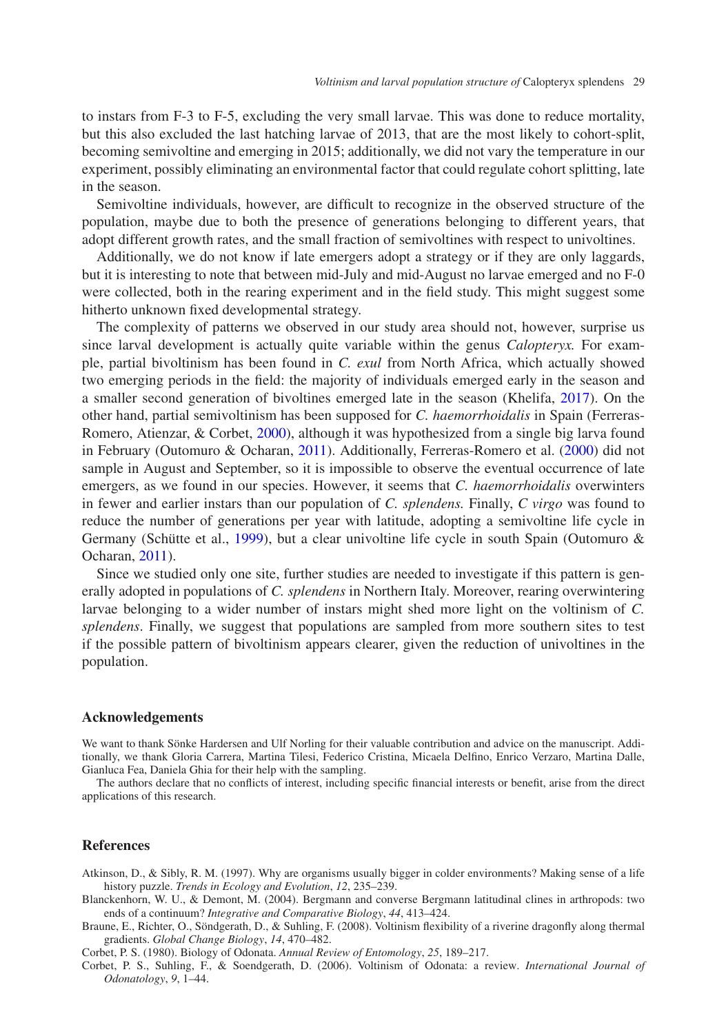to instars from F-3 to F-5, excluding the very small larvae. This was done to reduce mortality, but this also excluded the last hatching larvae of 2013, that are the most likely to cohort-split, becoming semivoltine and emerging in 2015; additionally, we did not vary the temperature in our experiment, possibly eliminating an environmental factor that could regulate cohort splitting, late in the season.

Semivoltine individuals, however, are difficult to recognize in the observed structure of the population, maybe due to both the presence of generations belonging to different years, that adopt different growth rates, and the small fraction of semivoltines with respect to univoltines.

Additionally, we do not know if late emergers adopt a strategy or if they are only laggards, but it is interesting to note that between mid-July and mid-August no larvae emerged and no F-0 were collected, both in the rearing experiment and in the field study. This might suggest some hitherto unknown fixed developmental strategy.

The complexity of patterns we observed in our study area should not, however, surprise us since larval development is actually quite variable within the genus *Calopteryx.* For example, partial bivoltinism has been found in *C. exul* from North Africa, which actually showed two emerging periods in the field: the majority of individuals emerged early in the season and a smaller second generation of bivoltines emerged late in the season (Khelifa, [2017\)](#page-9-24). On the other hand, partial semivoltinism has been supposed for *C. haemorrhoidalis* in Spain (Ferreras-Romero, Atienzar, & Corbet, [2000\)](#page-9-25), although it was hypothesized from a single big larva found in February (Outomuro & Ocharan, [2011\)](#page-9-26). Additionally, Ferreras-Romero et al. [\(2000\)](#page-9-25) did not sample in August and September, so it is impossible to observe the eventual occurrence of late emergers, as we found in our species. However, it seems that *C. haemorrhoidalis* overwinters in fewer and earlier instars than our population of *C. splendens.* Finally, *C virgo* was found to reduce the number of generations per year with latitude, adopting a semivoltine life cycle in Germany (Schütte et al., [1999\)](#page-9-8), but a clear univoltine life cycle in south Spain (Outomuro & Ocharan, [2011\)](#page-9-26).

Since we studied only one site, further studies are needed to investigate if this pattern is generally adopted in populations of *C. splendens* in Northern Italy. Moreover, rearing overwintering larvae belonging to a wider number of instars might shed more light on the voltinism of *C. splendens*. Finally, we suggest that populations are sampled from more southern sites to test if the possible pattern of bivoltinism appears clearer, given the reduction of univoltines in the population.

## **Acknowledgements**

We want to thank Sönke Hardersen and Ulf Norling for their valuable contribution and advice on the manuscript. Additionally, we thank Gloria Carrera, Martina Tilesi, Federico Cristina, Micaela Delfino, Enrico Verzaro, Martina Dalle, Gianluca Fea, Daniela Ghia for their help with the sampling.

The authors declare that no conflicts of interest, including specific financial interests or benefit, arise from the direct applications of this research.

#### **References**

Atkinson, D., & Sibly, R. M. (1997). Why are organisms usually bigger in colder environments? Making sense of a life history puzzle. *Trends in Ecology and Evolution*, *12*, 235–239.

<span id="page-8-1"></span><span id="page-8-0"></span>Blanckenhorn, W. U., & Demont, M. (2004). Bergmann and converse Bergmann latitudinal clines in arthropods: two ends of a continuum? *Integrative and Comparative Biology*, *44*, 413–424.

<span id="page-8-2"></span>Braune, E., Richter, O., Söndgerath, D., & Suhling, F. (2008). Voltinism flexibility of a riverine dragonfly along thermal gradients. *Global Change Biology*, *14*, 470–482.

Corbet, P. S. (1980). Biology of Odonata. *Annual Review of Entomology*, *25*, 189–217.

<span id="page-8-4"></span><span id="page-8-3"></span>Corbet, P. S., Suhling, F., & Soendgerath, D. (2006). Voltinism of Odonata: a review. *International Journal of Odonatology*, *9*, 1–44.